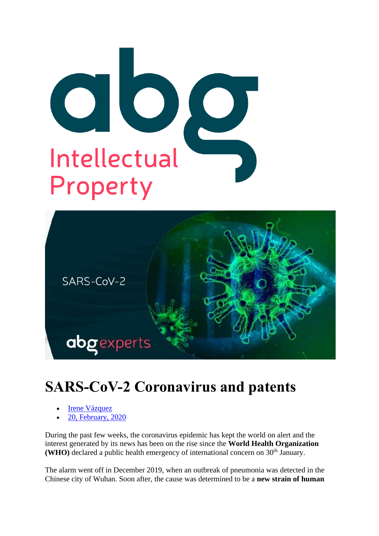



# **SARS-CoV-2 Coronavirus and patents**

- **Irene Vázquez**
- [20, February, 2020](https://abg-ip.com/2020/02/20/)

During the past few weeks, the coronavirus epidemic has kept the world on alert and the interest generated by its news has been on the rise since the **World Health Organization (WHO)** declared a public health emergency of international concern on 30<sup>th</sup> January.

The alarm went off in December 2019, when an outbreak of pneumonia was detected in the Chinese city of Wuhan. Soon after, the cause was determined to be a **new strain of human**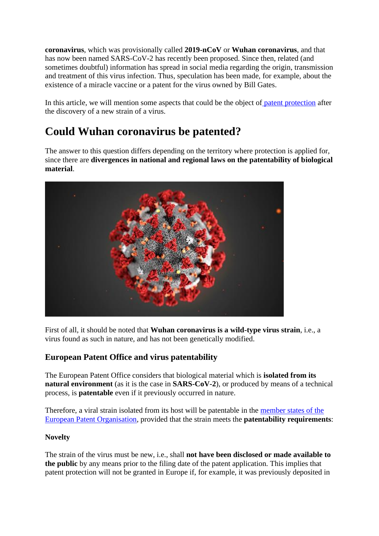**coronavirus**, which was provisionally called **2019-nCoV** or **Wuhan coronavirus**, and that has now been named SARS-CoV-2 has recently been proposed. Since then, related (and sometimes doubtful) information has spread in social media regarding the origin, transmission and treatment of this virus infection. Thus, speculation has been made, for example, about the existence of a miracle vaccine or a patent for the virus owned by Bill Gates.

In this article, we will mention some aspects that could be the object of [patent protection](https://abg-ip.com/patents-utility-models) after the discovery of a new strain of a virus.

# **Could Wuhan coronavirus be patented?**

The answer to this question differs depending on the territory where protection is applied for, since there are **divergences in national and regional laws on the patentability of biological material**.



First of all, it should be noted that **Wuhan coronavirus is a wild-type virus strain**, i.e., a virus found as such in nature, and has not been genetically modified.

### **European Patent Office and virus patentability**

The European Patent Office considers that biological material which is **isolated from its natural environment** (as it is the case in **SARS-CoV-2**), or produced by means of a technical process, is **patentable** even if it previously occurred in nature.

Therefore, a viral strain isolated from its host will be patentable in the [member states of the](https://www.epo.org/about-us/foundation/member-states.html)  [European Patent Organisation,](https://www.epo.org/about-us/foundation/member-states.html) provided that the strain meets the **patentability requirements**:

### **Novelty**

The strain of the virus must be new, i.e., shall **not have been disclosed or made available to the public** by any means prior to the filing date of the patent application. This implies that patent protection will not be granted in Europe if, for example, it was previously deposited in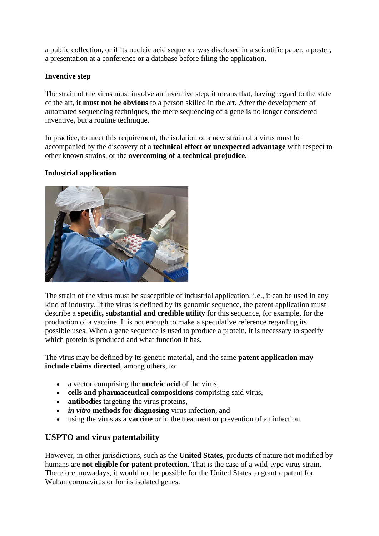a public collection, or if its nucleic acid sequence was disclosed in a scientific paper, a poster, a presentation at a conference or a database before filing the application.

#### **Inventive step**

The strain of the virus must involve an inventive step, it means that, having regard to the state of the art, **it must not be obvious** to a person skilled in the art. After the development of automated sequencing techniques, the mere sequencing of a gene is no longer considered inventive, but a routine technique.

In practice, to meet this requirement, the isolation of a new strain of a virus must be accompanied by the discovery of a **technical effect or unexpected advantage** with respect to other known strains, or the **overcoming of a technical prejudice.**

#### **Industrial application**



The strain of the virus must be susceptible of industrial application, i.e., it can be used in any kind of industry. If the virus is defined by its genomic sequence, the patent application must describe a **specific, substantial and credible utility** for this sequence, for example, for the production of a vaccine. It is not enough to make a speculative reference regarding its possible uses. When a gene sequence is used to produce a protein, it is necessary to specify which protein is produced and what function it has.

The virus may be defined by its genetic material, and the same **patent application may include claims directed**, among others, to:

- a vector comprising the **nucleic acid** of the virus,
- **cells and pharmaceutical compositions** comprising said virus,
- **antibodies** targeting the virus proteins,
- *in vitro* **methods for diagnosing** virus infection, and
- using the virus as a **vaccine** or in the treatment or prevention of an infection.

### **USPTO and virus patentability**

However, in other jurisdictions, such as the **United States**, products of nature not modified by humans are **not eligible for patent protection**. That is the case of a wild-type virus strain. Therefore, nowadays, it would not be possible for the United States to grant a patent for Wuhan coronavirus or for its isolated genes.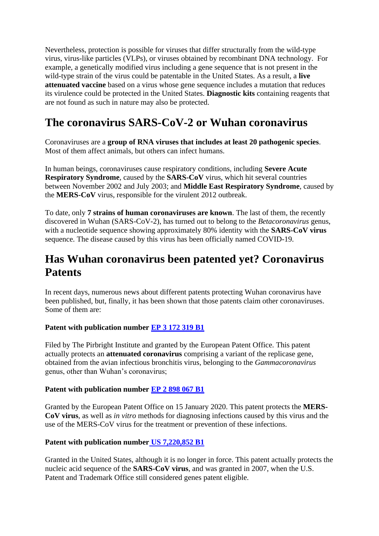Nevertheless, protection is possible for viruses that differ structurally from the wild-type virus, virus-like particles (VLPs), or viruses obtained by recombinant DNA technology. For example, a genetically modified virus including a gene sequence that is not present in the wild-type strain of the virus could be patentable in the United States. As a result, a **live attenuated vaccine** based on a virus whose gene sequence includes a mutation that reduces its virulence could be protected in the United States. **Diagnostic kits** containing reagents that are not found as such in nature may also be protected.

# **The coronavirus SARS-CoV-2 or Wuhan coronavirus**

Coronaviruses are a **group of RNA viruses that includes at least 20 pathogenic species**. Most of them affect animals, but others can infect humans.

In human beings, coronaviruses cause respiratory conditions, including **Severe Acute Respiratory Syndrome**, caused by the **SARS-CoV** virus, which hit several countries between November 2002 and July 2003; and **Middle East Respiratory Syndrome**, caused by the **MERS-CoV** virus, responsible for the virulent 2012 outbreak.

To date, only **7 strains of human coronaviruses are known**. The last of them, the recently discovered in Wuhan (SARS-CoV-2), has turned out to belong to the *Betacoronavirus* genus, with a nucleotide sequence showing approximately 80% identity with the **SARS-CoV virus** sequence. The disease caused by this virus has been officially named COVID-19.

# **Has Wuhan coronavirus been patented yet? Coronavirus Patents**

In recent days, numerous news about different patents protecting Wuhan coronavirus have been published, but, finally, it has been shown that those patents claim other coronaviruses. Some of them are:

### **Patent with publication number [EP 3 172 319 B1](https://data.epo.org/publication-server/pdf-document?pn=3172319&ki=B1&cc=EP&pd=20191120)**

Filed by The Pirbright Institute and granted by the European Patent Office. This patent actually protects an **attenuated coronavirus** comprising a variant of the replicase gene, obtained from the avian infectious bronchitis virus, belonging to the *Gammacoronavirus* genus, other than Wuhan's coronavirus;

#### **Patent with publication number [EP 2 898 067 B1](https://data.epo.org/publication-server/pdf-document?pn=2898067&ki=B1&cc=EP&pd=20200115)**

Granted by the European Patent Office on 15 January 2020. This patent protects the **MERS-CoV virus**, as well as *in vitro* methods for diagnosing infections caused by this virus and the use of the MERS-CoV virus for the treatment or prevention of these infections.

### **Patent with publication number [US 7,220,852 B1](https://patentimages.storage.googleapis.com/6b/c3/21/a62eb55a0e678c/US7220852.pdf)**

Granted in the United States, although it is no longer in force. This patent actually protects the nucleic acid sequence of the **SARS-CoV virus**, and was granted in 2007, when the U.S. Patent and Trademark Office still considered genes patent eligible.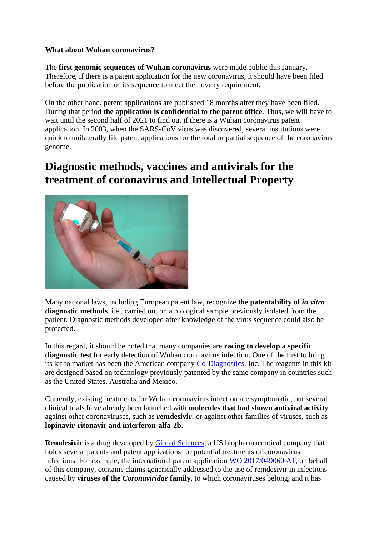#### **What about Wuhan coronavirus?**

The **first genomic sequences of Wuhan coronavirus** were made public this January. Therefore, if there is a patent application for the new coronavirus, it should have been filed before the publication of its sequence to meet the novelty requirement.

On the other hand, patent applications are published 18 months after they have been filed. During that period **the application is confidential to the patent office**. Thus, we will have to wait until the second half of 2021 to find out if there is a Wuhan coronavirus patent application. In 2003, when the SARS-CoV virus was discovered, several institutions were quick to unilaterally file patent applications for the total or partial sequence of the coronavirus genome.

## **Diagnostic methods, vaccines and antivirals for the treatment of coronavirus and Intellectual Property**



Many national laws, including European patent law, recognize **the patentability of** *in vitro* **diagnostic methods**, i.e., carried out on a biological sample previously isolated from the patient. Diagnostic methods developed after knowledge of the virus sequence could also be protected.

In this regard, it should be noted that many companies are **racing to develop a specific diagnostic test** for early detection of Wuhan coronavirus infection. One of the first to bring its kit to market has been the American company [Co-Diagnostics,](http://codiagnostics.com/) Inc. The reagents in this kit are designed based on technology previously patented by the same company in countries such as the United States, Australia and Mexico.

Currently, existing treatments for Wuhan coronavirus infection are symptomatic, but several clinical trials have already been launched with **molecules that had shown antiviral activity** against other coronaviruses, such as **remdesivir**; or against other families of viruses, such as **lopinavir-ritonavir and interferon-alfa-2b.**

**Remdesivir** is a drug developed by [Gilead Sciences,](https://www.gilead.com/) a US biopharmaceutical company that holds several patents and patent applications for potential treatments of coronavirus infections. For example, the international patent application [WO 2017/049060 A1,](https://patentscope.wipo.int/search/docs2/pct/WO2017049060/pdf/_wT9DcXR7Xajldpj-DvgRPYYRN2S8xbb1hLGSjg1zyi3VvbaAkfBQWiPRHkaoZaRUzrL8WHvci3J4WIHODk_e4YmgtbeA5GjQ4IfXsoLvo0958vgKMGlcFQ6mDCIgYBM?docId=id00000037150062) on behalf of this company, contains claims generically addressed to the use of remdesivir in infections caused by **viruses of the** *Coronaviridae* **family**, to which coronaviruses belong, and it has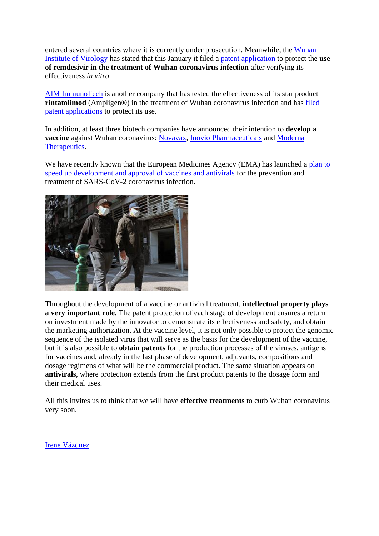entered several countries where it is currently under prosecution. Meanwhile, the [Wuhan](http://english.whiov.cas.cn/)  [Institute of Virology](http://english.whiov.cas.cn/) has stated that this January it filed a [patent application](http://www.whiov.cas.cn/kyjz_105338/202002/t20200204_5497136.html) to protect the **use of remdesivir in the treatment of Wuhan coronavirus infection** after verifying its effectiveness *in vitro*.

[AIM ImmunoTech](https://aimimmuno.com/) is another company that has tested the effectiveness of its star product **rintatolimod** (Ampligen®) in the treatment of Wuhan coronavirus infection and has [filed](https://aimimmuno.irpass.com/AIM-ImmunoTech-Files-Three-Provisional-Patent-Applications-Surrounding-AmpligenR-for-Use-Against-the-SARS-like-Wuhan-2019-Novel-Coronavirus)  [patent applications](https://aimimmuno.irpass.com/AIM-ImmunoTech-Files-Three-Provisional-Patent-Applications-Surrounding-AmpligenR-for-Use-Against-the-SARS-like-Wuhan-2019-Novel-Coronavirus) to protect its use.

In addition, at least three biotech companies have announced their intention to **develop a vaccine** against Wuhan coronavirus: [Novavax,](https://novavax.com/) [Inovio Pharmaceuticals](https://www.inovio.com/) and [Moderna](https://www.modernatx.com/)  [Therapeutics.](https://www.modernatx.com/)

We have recently known that the European Medicines Agency (EMA) has launched a plan to [speed up development and approval of vaccines and antivirals](https://www.ema.europa.eu/en/news/ema-support-development-vaccines-treatments-novel-coronavirus) for the prevention and treatment of SARS-CoV-2 coronavirus infection.



Throughout the development of a vaccine or antiviral treatment, **intellectual property plays a very important role**. The patent protection of each stage of development ensures a return on investment made by the innovator to demonstrate its effectiveness and safety, and obtain the marketing authorization. At the vaccine level, it is not only possible to protect the genomic sequence of the isolated virus that will serve as the basis for the development of the vaccine, but it is also possible to **obtain patents** for the production processes of the viruses, antigens for vaccines and, already in the last phase of development, adjuvants, compositions and dosage regimens of what will be the commercial product. The same situation appears on **antivirals**, where protection extends from the first product patents to the dosage form and their medical uses.

All this invites us to think that we will have **effective treatments** to curb Wuhan coronavirus very soon.

[Irene Vázquez](https://abg-ip.com/irene-vazquez/)